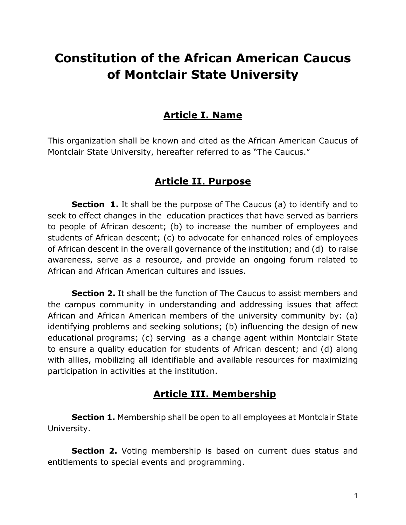# **Constitution of the African American Caucus of Montclair State University**

# **Article I. Name**

This organization shall be known and cited as the African American Caucus of Montclair State University, hereafter referred to as "The Caucus."

# **Article II. Purpose**

**Section 1.** It shall be the purpose of The Caucus (a) to identify and to seek to effect changes in the education practices that have served as barriers to people of African descent; (b) to increase the number of employees and students of African descent; (c) to advocate for enhanced roles of employees of African descent in the overall governance of the institution; and (d) to raise awareness, serve as a resource, and provide an ongoing forum related to African and African American cultures and issues.

**Section 2.** It shall be the function of The Caucus to assist members and the campus community in understanding and addressing issues that affect African and African American members of the university community by: (a) identifying problems and seeking solutions; (b) influencing the design of new educational programs; (c) serving as a change agent within Montclair State to ensure a quality education for students of African descent; and (d) along with allies, mobilizing all identifiable and available resources for maximizing participation in activities at the institution.

# **Article III. Membership**

**Section 1.** Membership shall be open to all employees at Montclair State University.

**Section 2.** Voting membership is based on current dues status and entitlements to special events and programming.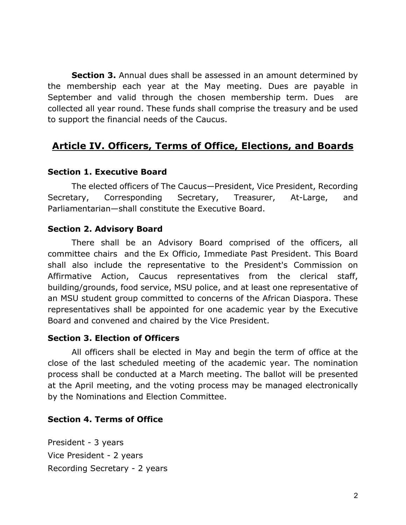**Section 3.** Annual dues shall be assessed in an amount determined by the membership each year at the May meeting. Dues are payable in September and valid through the chosen membership term. Dues are collected all year round. These funds shall comprise the treasury and be used to support the financial needs of the Caucus.

# **Article IV. Officers, Terms of Office, Elections, and Boards**

#### **Section 1. Executive Board**

The elected officers of The Caucus—President, Vice President, Recording Secretary, Corresponding Secretary, Treasurer, At-Large, and Parliamentarian—shall constitute the Executive Board.

#### **Section 2. Advisory Board**

There shall be an Advisory Board comprised of the officers, all committee chairs and the Ex Officio, Immediate Past President. This Board shall also include the representative to the President's Commission on Affirmative Action, Caucus representatives from the clerical staff, building/grounds, food service, MSU police, and at least one representative of an MSU student group committed to concerns of the African Diaspora. These representatives shall be appointed for one academic year by the Executive Board and convened and chaired by the Vice President.

#### **Section 3. Election of Officers**

All officers shall be elected in May and begin the term of office at the close of the last scheduled meeting of the academic year. The nomination process shall be conducted at a March meeting. The ballot will be presented at the April meeting, and the voting process may be managed electronically by the Nominations and Election Committee.

## **Section 4. Terms of Office**

President - 3 years Vice President - 2 years Recording Secretary - 2 years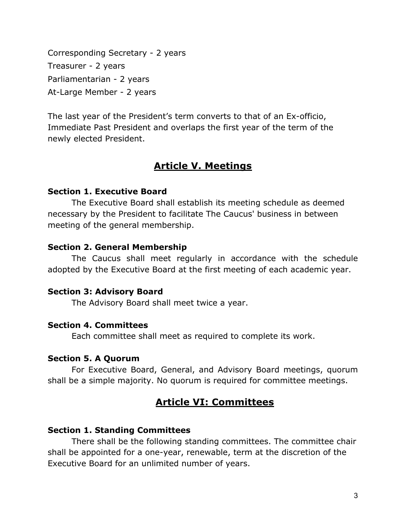Corresponding Secretary - 2 years Treasurer - 2 years Parliamentarian - 2 years At-Large Member - 2 years

The last year of the President's term converts to that of an Ex-officio, Immediate Past President and overlaps the first year of the term of the newly elected President.

# **Article V. Meetings**

## **Section 1. Executive Board**

The Executive Board shall establish its meeting schedule as deemed necessary by the President to facilitate The Caucus' business in between meeting of the general membership.

## **Section 2. General Membership**

The Caucus shall meet regularly in accordance with the schedule adopted by the Executive Board at the first meeting of each academic year.

## **Section 3: Advisory Board**

The Advisory Board shall meet twice a year.

## **Section 4. Committees**

Each committee shall meet as required to complete its work.

## **Section 5. A Quorum**

For Executive Board, General, and Advisory Board meetings, quorum shall be a simple majority. No quorum is required for committee meetings.

# **Article VI: Committees**

## **Section 1. Standing Committees**

There shall be the following standing committees. The committee chair shall be appointed for a one-year, renewable, term at the discretion of the Executive Board for an unlimited number of years.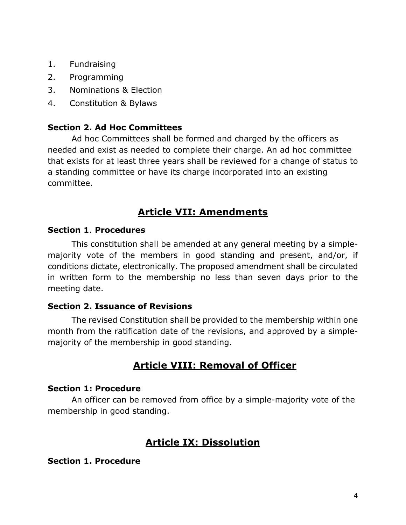- 1. Fundraising
- 2. Programming
- 3. Nominations & Election
- 4. Constitution & Bylaws

## **Section 2. Ad Hoc Committees**

Ad hoc Committees shall be formed and charged by the officers as needed and exist as needed to complete their charge. An ad hoc committee that exists for at least three years shall be reviewed for a change of status to a standing committee or have its charge incorporated into an existing committee.

# **Article VII: Amendments**

#### **Section 1**. **Procedures**

This constitution shall be amended at any general meeting by a simplemajority vote of the members in good standing and present, and/or, if conditions dictate, electronically. The proposed amendment shall be circulated in written form to the membership no less than seven days prior to the meeting date.

## **Section 2. Issuance of Revisions**

The revised Constitution shall be provided to the membership within one month from the ratification date of the revisions, and approved by a simplemajority of the membership in good standing.

# **Article VIII: Removal of Officer**

#### **Section 1: Procedure**

An officer can be removed from office by a simple-majority vote of the membership in good standing.

# **Article IX: Dissolution**

#### **Section 1. Procedure**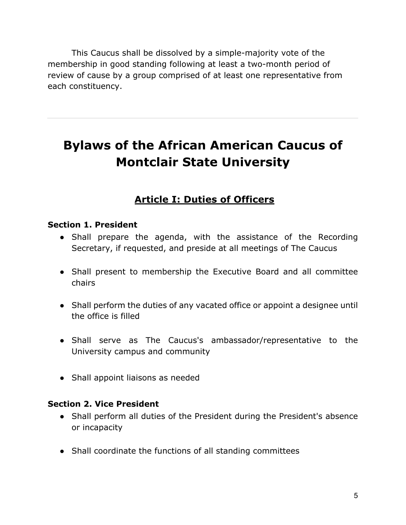This Caucus shall be dissolved by a simple-majority vote of the membership in good standing following at least a two-month period of review of cause by a group comprised of at least one representative from each constituency.

# **Bylaws of the African American Caucus of Montclair State University**

# **Article I: Duties of Officers**

#### **Section 1. President**

- Shall prepare the agenda, with the assistance of the Recording Secretary, if requested, and preside at all meetings of The Caucus
- Shall present to membership the Executive Board and all committee chairs
- Shall perform the duties of any vacated office or appoint a designee until the office is filled
- Shall serve as The Caucus's ambassador/representative to the University campus and community
- Shall appoint liaisons as needed

## **Section 2. Vice President**

- Shall perform all duties of the President during the President's absence or incapacity
- Shall coordinate the functions of all standing committees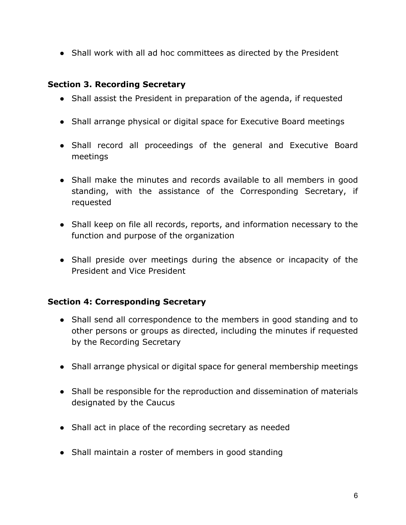• Shall work with all ad hoc committees as directed by the President

## **Section 3. Recording Secretary**

- Shall assist the President in preparation of the agenda, if requested
- Shall arrange physical or digital space for Executive Board meetings
- Shall record all proceedings of the general and Executive Board meetings
- Shall make the minutes and records available to all members in good standing, with the assistance of the Corresponding Secretary, if requested
- Shall keep on file all records, reports, and information necessary to the function and purpose of the organization
- Shall preside over meetings during the absence or incapacity of the President and Vice President

## **Section 4: Corresponding Secretary**

- Shall send all correspondence to the members in good standing and to other persons or groups as directed, including the minutes if requested by the Recording Secretary
- Shall arrange physical or digital space for general membership meetings
- Shall be responsible for the reproduction and dissemination of materials designated by the Caucus
- Shall act in place of the recording secretary as needed
- Shall maintain a roster of members in good standing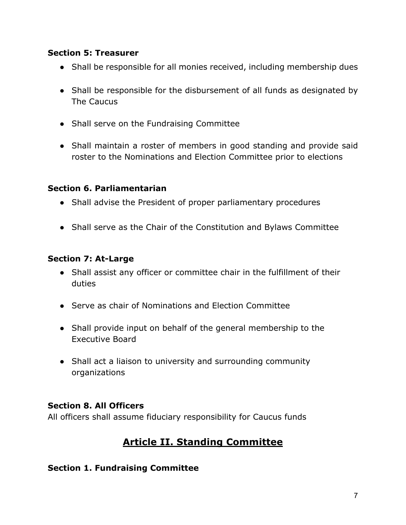#### **Section 5: Treasurer**

- Shall be responsible for all monies received, including membership dues
- Shall be responsible for the disbursement of all funds as designated by The Caucus
- Shall serve on the Fundraising Committee
- Shall maintain a roster of members in good standing and provide said roster to the Nominations and Election Committee prior to elections

## **Section 6. Parliamentarian**

- Shall advise the President of proper parliamentary procedures
- Shall serve as the Chair of the Constitution and Bylaws Committee

## **Section 7: At-Large**

- Shall assist any officer or committee chair in the fulfillment of their duties
- Serve as chair of Nominations and Election Committee
- Shall provide input on behalf of the general membership to the Executive Board
- Shall act a liaison to university and surrounding community organizations

## **Section 8. All Officers**

All officers shall assume fiduciary responsibility for Caucus funds

# **Article II. Standing Committee**

## **Section 1. Fundraising Committee**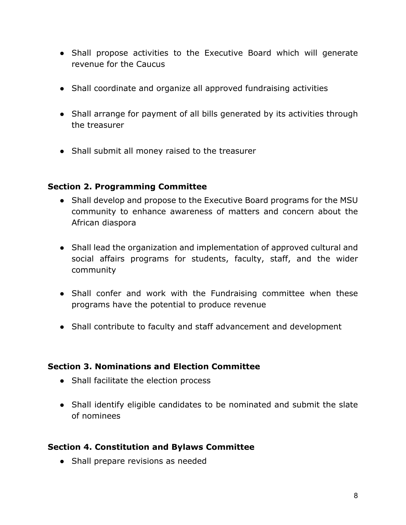- Shall propose activities to the Executive Board which will generate revenue for the Caucus
- Shall coordinate and organize all approved fundraising activities
- Shall arrange for payment of all bills generated by its activities through the treasurer
- Shall submit all money raised to the treasurer

## **Section 2. Programming Committee**

- Shall develop and propose to the Executive Board programs for the MSU community to enhance awareness of matters and concern about the African diaspora
- Shall lead the organization and implementation of approved cultural and social affairs programs for students, faculty, staff, and the wider community
- Shall confer and work with the Fundraising committee when these programs have the potential to produce revenue
- Shall contribute to faculty and staff advancement and development

## **Section 3. Nominations and Election Committee**

- Shall facilitate the election process
- Shall identify eligible candidates to be nominated and submit the slate of nominees

## **Section 4. Constitution and Bylaws Committee**

• Shall prepare revisions as needed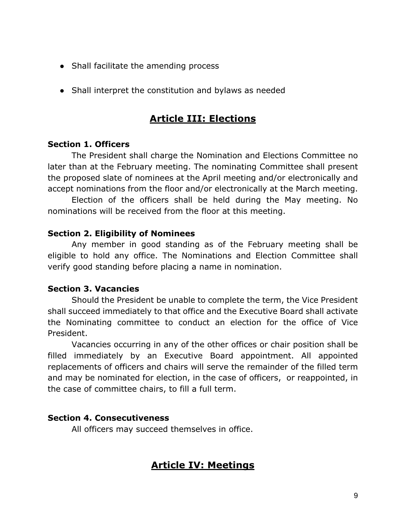- Shall facilitate the amending process
- Shall interpret the constitution and bylaws as needed

# **Article III: Elections**

#### **Section 1. Officers**

The President shall charge the Nomination and Elections Committee no later than at the February meeting. The nominating Committee shall present the proposed slate of nominees at the April meeting and/or electronically and accept nominations from the floor and/or electronically at the March meeting.

Election of the officers shall be held during the May meeting. No nominations will be received from the floor at this meeting.

#### **Section 2. Eligibility of Nominees**

Any member in good standing as of the February meeting shall be eligible to hold any office. The Nominations and Election Committee shall verify good standing before placing a name in nomination.

#### **Section 3. Vacancies**

Should the President be unable to complete the term, the Vice President shall succeed immediately to that office and the Executive Board shall activate the Nominating committee to conduct an election for the office of Vice President.

Vacancies occurring in any of the other offices or chair position shall be filled immediately by an Executive Board appointment. All appointed replacements of officers and chairs will serve the remainder of the filled term and may be nominated for election, in the case of officers, or reappointed, in the case of committee chairs, to fill a full term.

#### **Section 4. Consecutiveness**

All officers may succeed themselves in office.

## **Article IV: Meetings**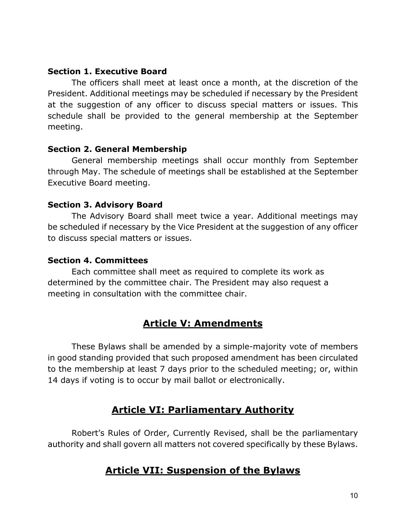#### **Section 1. Executive Board**

The officers shall meet at least once a month, at the discretion of the President. Additional meetings may be scheduled if necessary by the President at the suggestion of any officer to discuss special matters or issues. This schedule shall be provided to the general membership at the September meeting.

#### **Section 2. General Membership**

General membership meetings shall occur monthly from September through May. The schedule of meetings shall be established at the September Executive Board meeting.

#### **Section 3. Advisory Board**

The Advisory Board shall meet twice a year. Additional meetings may be scheduled if necessary by the Vice President at the suggestion of any officer to discuss special matters or issues.

#### **Section 4. Committees**

Each committee shall meet as required to complete its work as determined by the committee chair. The President may also request a meeting in consultation with the committee chair.

# **Article V: Amendments**

These Bylaws shall be amended by a simple-majority vote of members in good standing provided that such proposed amendment has been circulated to the membership at least 7 days prior to the scheduled meeting; or, within 14 days if voting is to occur by mail ballot or electronically.

# **Article VI: Parliamentary Authority**

Robert's Rules of Order, Currently Revised, shall be the parliamentary authority and shall govern all matters not covered specifically by these Bylaws.

## **Article VII: Suspension of the Bylaws**